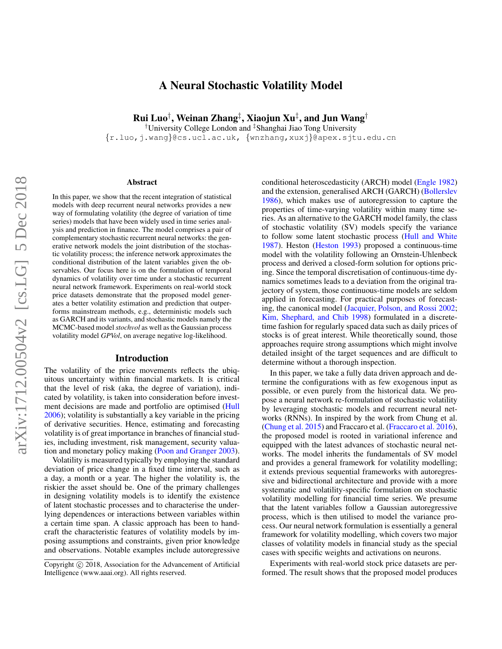# A Neural Stochastic Volatility Model

Rui Luo†, Weinan Zhang‡, Xiaojun Xu‡, and Jun Wang†

†University College London and ‡Shanghai Jiao Tong University {r.luo,j.wang}@cs.ucl.ac.uk, {wnzhang,xuxj}@apex.sjtu.edu.cn

#### Abstract

In this paper, we show that the recent integration of statistical models with deep recurrent neural networks provides a new way of formulating volatility (the degree of variation of time series) models that have been widely used in time series analysis and prediction in finance. The model comprises a pair of complementary stochastic recurrent neural networks: the generative network models the joint distribution of the stochastic volatility process; the inference network approximates the conditional distribution of the latent variables given the observables. Our focus here is on the formulation of temporal dynamics of volatility over time under a stochastic recurrent neural network framework. Experiments on real-world stock price datasets demonstrate that the proposed model generates a better volatility estimation and prediction that outperforms mainstream methods, e.g., deterministic models such as GARCH and its variants, and stochastic models namely the MCMC-based model *stochvol* as well as the Gaussian process volatility model *GPVol*, on average negative log-likelihood.

#### Introduction

The volatility of the price movements reflects the ubiquitous uncertainty within financial markets. It is critical that the level of risk (aka, the degree of variation), indicated by volatility, is taken into consideration before investment decisions are made and portfolio are optimised [\(Hull](#page-7-0) [2006\)](#page-7-0); volatility is substantially a key variable in the pricing of derivative securities. Hence, estimating and forecasting volatility is of great importance in branches of financial studies, including investment, risk management, security valuation and monetary policy making [\(Poon and Granger 2003\)](#page-7-1).

Volatility is measured typically by employing the standard deviation of price change in a fixed time interval, such as a day, a month or a year. The higher the volatility is, the riskier the asset should be. One of the primary challenges in designing volatility models is to identify the existence of latent stochastic processes and to characterise the underlying dependences or interactions between variables within a certain time span. A classic approach has been to handcraft the characteristic features of volatility models by imposing assumptions and constraints, given prior knowledge and observations. Notable examples include autoregressive conditional heteroscedasticity (ARCH) model [\(Engle 1982\)](#page-7-2) and the extension, generalised ARCH (GARCH) [\(Bollerslev](#page-7-3) [1986\)](#page-7-3), which makes use of autoregression to capture the properties of time-varying volatility within many time series. As an alternative to the GARCH model family, the class of stochastic volatility (SV) models specify the variance to follow some latent stochastic process [\(Hull and White](#page-7-4) [1987\)](#page-7-4). Heston [\(Heston 1993\)](#page-7-5) proposed a continuous-time model with the volatility following an Ornstein-Uhlenbeck process and derived a closed-form solution for options pricing. Since the temporal discretisation of continuous-time dynamics sometimes leads to a deviation from the original trajectory of system, those continuous-time models are seldom applied in forecasting. For practical purposes of forecasting, the canonical model [\(Jacquier, Polson, and Rossi 2002;](#page-7-6) [Kim, Shephard, and Chib 1998\)](#page-7-7) formulated in a discretetime fashion for regularly spaced data such as daily prices of stocks is of great interest. While theoretically sound, those approaches require strong assumptions which might involve detailed insight of the target sequences and are difficult to determine without a thorough inspection.

In this paper, we take a fully data driven approach and determine the configurations with as few exogenous input as possible, or even purely from the historical data. We propose a neural network re-formulation of stochastic volatility by leveraging stochastic models and recurrent neural networks (RNNs). In inspired by the work from Chung et al. [\(Chung et al. 2015\)](#page-7-8) and Fraccaro et al. [\(Fraccaro et al. 2016\)](#page-7-9), the proposed model is rooted in variational inference and equipped with the latest advances of stochastic neural networks. The model inherits the fundamentals of SV model and provides a general framework for volatility modelling; it extends previous sequential frameworks with autoregressive and bidirectional architecture and provide with a more systematic and volatility-specific formulation on stochastic volatility modelling for financial time series. We presume that the latent variables follow a Gaussian autoregressive process, which is then utilised to model the variance process. Our neural network formulation is essentially a general framework for volatility modelling, which covers two major classes of volatility models in financial study as the special cases with specific weights and activations on neurons.

Experiments with real-world stock price datasets are performed. The result shows that the proposed model produces

Copyright (c) 2018, Association for the Advancement of Artificial Intelligence (www.aaai.org). All rights reserved.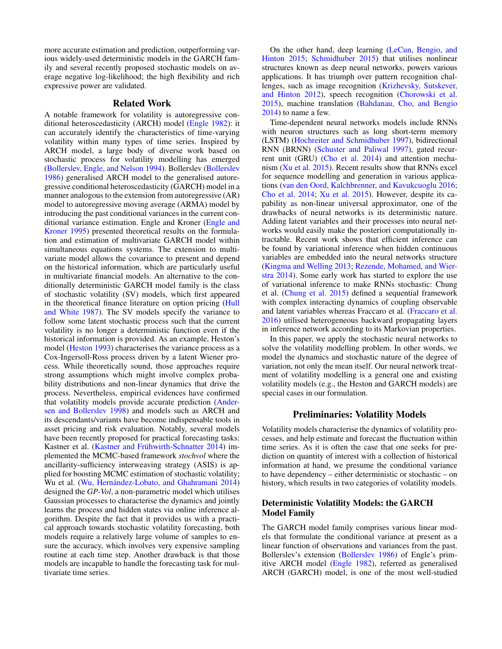more accurate estimation and prediction, outperforming various widely-used deterministic models in the GARCH family and several recently proposed stochastic models on average negative log-likelihood; the high flexibility and rich expressive power are validated.

### Related Work

A notable framework for volatility is autoregressive conditional heteroscedasticity (ARCH) model [\(Engle 1982\)](#page-7-2): it can accurately identify the characteristics of time-varying volatility within many types of time series. Inspired by ARCH model, a large body of diverse work based on stochastic process for volatility modelling has emerged [\(Bollerslev, Engle, and Nelson 1994\)](#page-7-10). Bollerslev [\(Bollerslev](#page-7-3) [1986\)](#page-7-3) generalised ARCH model to the generalised autoregressive conditional heteroscedasticity (GARCH) model in a manner analogous to the extension from autoregressive (AR) model to autoregressive moving average (ARMA) model by introducing the past conditional variances in the current conditional variance estimation. Engle and Kroner [\(Engle and](#page-7-11) [Kroner 1995\)](#page-7-11) presented theoretical results on the formulation and estimation of multivariate GARCH model within simultaneous equations systems. The extension to multivariate model allows the covariance to present and depend on the historical information, which are particularly useful in multivariate financial models. An alternative to the conditionally deterministic GARCH model family is the class of stochastic volatility (SV) models, which first appeared in the theoretical finance literature on option pricing [\(Hull](#page-7-4) [and White 1987\)](#page-7-4). The SV models specify the variance to follow some latent stochastic process such that the current volatility is no longer a deterministic function even if the historical information is provided. As an example, Heston's model [\(Heston 1993\)](#page-7-5) characterises the variance process as a Cox-Ingersoll-Ross process driven by a latent Wiener process. While theoretically sound, those approaches require strong assumptions which might involve complex probability distributions and non-linear dynamics that drive the process. Nevertheless, empirical evidences have confirmed that volatility models provide accurate prediction [\(Ander](#page-7-12)[sen and Bollerslev 1998\)](#page-7-12) and models such as ARCH and its descendants/variants have become indispensable tools in asset pricing and risk evaluation. Notably, several models have been recently proposed for practical forecasting tasks: Kastner et al. (Kastner and Frühwirth-Schnatter 2014) implemented the MCMC-based framework *stochvol* where the ancillarity-sufficiency interweaving strategy (ASIS) is applied for boosting MCMC estimation of stochastic volatility; Wu et al. (Wu, Hernández-Lobato, and Ghahramani 2014) designed the *GP-Vol*, a non-parametric model which utilises Gaussian processes to characterise the dynamics and jointly learns the process and hidden states via online inference algorithm. Despite the fact that it provides us with a practical approach towards stochastic volatility forecasting, both models require a relatively large volume of samples to ensure the accuracy, which involves very expensive sampling routine at each time step. Another drawback is that those models are incapable to handle the forecasting task for multivariate time series.

On the other hand, deep learning [\(LeCun, Bengio, and](#page-7-15) [Hinton 2015;](#page-7-15) [Schmidhuber 2015\)](#page-7-16) that utilises nonlinear structures known as deep neural networks, powers various applications. It has triumph over pattern recognition challenges, such as image recognition [\(Krizhevsky, Sutskever,](#page-7-17) [and Hinton 2012\)](#page-7-17), speech recognition [\(Chorowski et al.](#page-7-18) [2015\)](#page-7-18), machine translation [\(Bahdanau, Cho, and Bengio](#page-7-19) [2014\)](#page-7-19) to name a few.

Time-dependent neural networks models include RNNs with neuron structures such as long short-term memory (LSTM) [\(Hochreiter and Schmidhuber 1997\)](#page-7-20), bidirectional RNN (BRNN) [\(Schuster and Paliwal 1997\)](#page-7-21), gated recurrent unit (GRU) [\(Cho et al. 2014\)](#page-7-22) and attention mechanism [\(Xu et al. 2015\)](#page-7-23). Recent results show that RNNs excel for sequence modelling and generation in various applications [\(van den Oord, Kalchbrenner, and Kavukcuoglu 2016;](#page-7-24) [Cho et al. 2014;](#page-7-22) [Xu et al. 2015\)](#page-7-23). However, despite its capability as non-linear universal approximator, one of the drawbacks of neural networks is its deterministic nature. Adding latent variables and their processes into neural networks would easily make the posteriori computationally intractable. Recent work shows that efficient inference can be found by variational inference when hidden continuous variables are embedded into the neural networks structure [\(Kingma and Welling 2013;](#page-7-25) [Rezende, Mohamed, and Wier](#page-7-26)[stra 2014\)](#page-7-26). Some early work has started to explore the use of variational inference to make RNNs stochastic: Chung et al. [\(Chung et al. 2015\)](#page-7-8) defined a sequential framework with complex interacting dynamics of coupling observable and latent variables whereas Fraccaro et al. [\(Fraccaro et al.](#page-7-9) [2016\)](#page-7-9) utilised heterogeneous backward propagating layers in inference network according to its Markovian properties.

In this paper, we apply the stochastic neural networks to solve the volatility modelling problem. In other words, we model the dynamics and stochastic nature of the degree of variation, not only the mean itself. Our neural network treatment of volatility modelling is a general one and existing volatility models (e.g., the Heston and GARCH models) are special cases in our formulation.

# Preliminaries: Volatility Models

Volatility models characterise the dynamics of volatility processes, and help estimate and forecast the fluctuation within time series. As it is often the case that one seeks for prediction on quantity of interest with a collection of historical information at hand, we presume the conditional variance to have dependency – either deterministic or stochastic – on history, which results in two categories of volatility models.

# Deterministic Volatility Models: the GARCH Model Family

The GARCH model family comprises various linear models that formulate the conditional variance at present as a linear function of observations and variances from the past. Bollerslev's extension [\(Bollerslev 1986\)](#page-7-3) of Engle's primitive ARCH model [\(Engle 1982\)](#page-7-2), referred as generalised ARCH (GARCH) model, is one of the most well-studied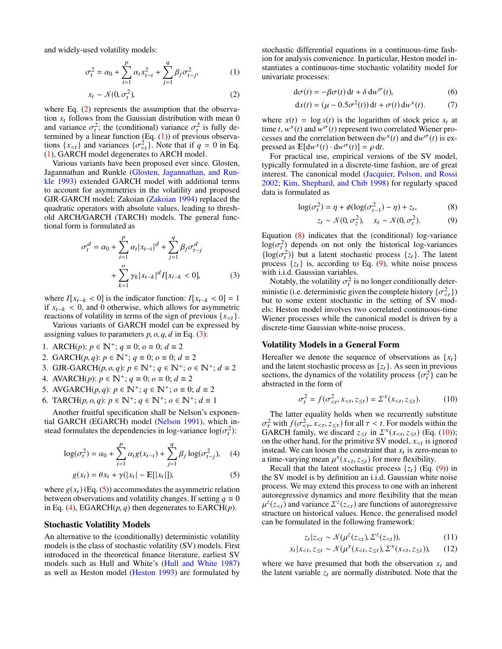and widely-used volatility models:

$$
\sigma_t^2 = \alpha_0 + \sum_{i=1}^p \alpha_i x_{t-i}^2 + \sum_{j=1}^q \beta_j \sigma_{t-j}^2, \qquad (1)
$$

$$
x_t \sim \mathcal{N}(0, \sigma_t^2),\tag{2}
$$

where Eq. [\(2\)](#page-2-0) represents the assumption that the observation  $x_t$  follows from the Gaussian distribution with mean 0 and variance  $\sigma_t^2$ ; the (conditional) variance  $\sigma_t^2$  is fully determined by a linear function (Eq. (1)) of previous observatermined by a linear function  $(Eq. (1))$  $(Eq. (1))$  $(Eq. (1))$  of previous observations  $\{x_{ and variances  $\{\sigma_{\leq t}^2\}$ . Note that if  $q = 0$  in Eq. (1) GARCH model degenerates to ARCH model$ tions  $\{x_{ and variances  $\{v_{. Note that if  $q$  -<br>[\(1\)](#page-2-1), GARCH model degenerates to ARCH model.$$ 

Various variants have been proposed ever since. Glosten, Jagannathan and Runkle [\(Glosten, Jagannathan, and Run](#page-7-27)[kle 1993\)](#page-7-27) extended GARCH model with additional terms to account for asymmetries in the volatility and proposed GJR-GARCH model; Zakoian [\(Zakoian 1994\)](#page-7-28) replaced the quadratic operators with absolute values, leading to threshold ARCH/GARCH (TARCH) models. The general functional form is formulated as

$$
\sigma_t^d = \alpha_0 + \sum_{i=1}^p \alpha_i |x_{t-i}|^d + \sum_{j=1}^q \beta_j \sigma_{t-j}^d
$$

$$
+ \sum_{k=1}^o \gamma_k |x_{t-k}|^d I[x_{t-k} < 0], \tag{3}
$$

where  $I[x_{t-k} < 0]$  is the indicator function:  $I[x_{t-k} < 0] = 1$ if *<sup>x</sup>*t−<sup>k</sup> <sup>&</sup>lt; <sup>0</sup>, and 0 otherwise, which allows for asymmetric reactions of volatility in terms of the sign of previous  $\{x_{\leq t}\}.$ 

Various variants of GARCH model can be expressed by assigning values to parameters  $p$ ,  $o$ ,  $q$ ,  $d$  in Eq. [\(3\)](#page-2-2):

- 1. ARCH(*p*):  $p \in \mathbb{N}^+$ ;  $q \equiv 0$ ;  $o \equiv 0$ ;  $d \equiv 2$
- 2. GARCH $(p, q)$ :  $p \in \mathbb{N}^+$ ;  $q \equiv 0$ ;  $o \equiv 0$ ;  $d \equiv 2$ <br>2. GIP GARCH $(p, q, q)$ :  $p \in \mathbb{N}^+$ ;  $q \in \mathbb{N}^+$ ;  $q \in \mathbb{N}$

3. GJR-GARCH(*p*, *o*, *q*): 
$$
p \in \mathbb{N}^+
$$
;  $q \in \mathbb{N}^+$ ;  $o \in \mathbb{N}^+$ ;  $d \equiv 2$   
4. AVARCH(*p*):  $p \in \mathbb{N}^+$ ;  $q \equiv 0$ ;  $o \equiv 0$ ;  $d \equiv 2$ 

5. AVGARCH
$$
(p, q)
$$
:  $p \in \mathbb{N}^+$ ;  $q \in \mathbb{N}^+$ ;  $o \equiv 0$ ;  $d \equiv 2$ 

6. TARCH(*p*, *o*, *q*):  $p \in \mathbb{N}^+$ ;  $q \in \mathbb{N}^+$ ;  $o \in \mathbb{N}^+$ ;  $d \equiv 1$ 

Another fruitful specification shall be Nelson's exponential GARCH (EGARCH) model [\(Nelson 1991\)](#page-7-29), which instead formulates the dependencies in log-variance  $log(\sigma_t^2)$ :

$$
\log(\sigma_t^2) = \alpha_0 + \sum_{i=1}^p \alpha_i g(x_{t-i}) + \sum_{j=1}^q \beta_j \log(\sigma_{t-j}^2), \quad (4)
$$

$$
g(x_t) = \theta x_t + \gamma(|x_t| - \mathbb{E}[|x_t|]),\tag{5}
$$

where  $g(x_t)$  (Eq. [\(5\)](#page-2-3)) accommodates the asymmetric relation between observations and volatility changes. If setting  $q \equiv 0$ in Eq. [\(4\)](#page-2-4), EGARCH $(p, q)$  then degenerates to EARCH $(p)$ .

#### Stochastic Volatility Models

An alternative to the (conditionally) deterministic volatility models is the class of stochastic volatility (SV) models. First introduced in the theoretical finance literature, earliest SV models such as Hull and White's [\(Hull and White 1987\)](#page-7-4) as well as Heston model [\(Heston 1993\)](#page-7-5) are formulated by <span id="page-2-1"></span>stochastic differential equations in a continuous-time fashion for analysis convenience. In particular, Heston model instantiates a continuous-time stochastic volatility model for univariate processes:

$$
d\sigma(t) = -\beta \sigma(t) dt + \delta d\omega^{\sigma}(t),
$$
\n(6)

$$
dx(t) = (\mu - 0.5\sigma^{2}(t)) dt + \sigma(t) dw^{x}(t).
$$
 (7)

<span id="page-2-0"></span>where  $x(t) = \log s(t)$  is the logarithm of stock price  $s_t$  at time *t*,  $w^x(t)$  and  $w^{\sigma}(t)$  represent two correlated Wiener processes and the correlation between  $dw^x(t)$  and  $dw^{\sigma}(t)$  is expressed as  $\mathbb{E}[dw^x(t) \cdot dw^{\sigma}(t)] = \rho dt$ .<br>For practical use empirical versic

For practical use, empirical versions of the SV model, typically formulated in a discrete-time fashion, are of great interest. The canonical model [\(Jacquier, Polson, and Rossi](#page-7-6) [2002;](#page-7-6) [Kim, Shephard, and Chib 1998\)](#page-7-7) for regularly spaced data is formulated as

$$
\log(\sigma_t^2) = \eta + \phi(\log(\sigma_{t-1}^2) - \eta) + z_t,
$$
 (8)

<span id="page-2-6"></span><span id="page-2-5"></span>
$$
z_t \sim \mathcal{N}(0, \sigma_z^2), \quad x_t \sim \mathcal{N}(0, \sigma_t^2). \tag{9}
$$

Equation [\(8\)](#page-2-5) indicates that the (conditional) log-variance log( $\sigma_t^2$ ) depends on not only the historical log-variances<br> $\frac{f_{\text{LOG}}(\sigma_t^2)}{f_{\text{LOG}}(\sigma_t^2)}$  but a latent stochastic process  $f_{\text{Z}}$ ). The latent  $\{\log(\sigma_i^2)\}\$  but a latent stochastic process  $\{z_t\}$ . The latent process  $\{z_t\}$  is according to Eq. (9) white noise process process  $\{z_t\}$  is, according to Eq. [\(9\)](#page-2-6), white noise process with i.i.d. Gaussian variables.

<span id="page-2-2"></span>Notably, the volatility  $\sigma_t^2$  is no longer conditionally deter-<br>nistic (i.e. deterministic given the complete history  $\{ \sigma^2 \}$ ) ministic (i.e. deterministic given the complete history  $\{\sigma_{\epsilon_l}^2\}$ )<br>but to some extent stochastic in the setting of SV modministic (i.e. deterministic given the complete instory  $\{O_{\leq t}\}\)$  but to some extent stochastic in the setting of SV models: Heston model involves two correlated continuous-time Wiener processes while the canonical model is driven by a discrete-time Gaussian white-noise process.

#### Volatility Models in a General Form

Hereafter we denote the sequence of observations as  $\{x_t\}$ and the latent stochastic process as  $\{z_t\}$ . As seen in previous sections, the dynamics of the volatility process  $\{\sigma_t^2\}$  can be abstracted in the form of abstracted in the form of

<span id="page-2-7"></span>
$$
\sigma_t^2 = f(\sigma_{ (10)
$$

The latter equality holds when we recurrently substitute GARCH family, we discard  $z_{\leq t}$  in  $\sum^{x}(x_{ (Eq. [\(10\)](#page-2-7));<br>on the other hand for the primitive SV model  $x_{\leq t}$  is ignored$ <sup>2</sup>/<sub>7</sub> with  $f(\sigma_{\leq \tau}^2, x_{\leq \tau}, z_{\leq \tau})$  for all  $\tau < t$ . For models within the <br>(ARCH family we discard  $z_{\leq t}$  in  $\Sigma^x(x_{\leq t}, z_{\leq t})$  (Eq. (10))) on the other hand, for the primitive SV model,  $x_{\leq t}$  is ignored<br>instead. We can loosen the constraint that x is zero, mean to instead. We can loosen the constraint that  $x_t$  is zero-mean to a time-varying mean  $\mu^x(x_{\leq t}, z_{\leq t})$  for more flexibility.<br>Recall that the latent stochastic process  $\{z_t\}$  (Fq.)

<span id="page-2-4"></span><span id="page-2-3"></span>Recall that the latent stochastic process  $\{z_t\}$  (Eq. [\(9\)](#page-2-6)) in the SV model is by definition an i.i.d. Gaussian white noise process. We may extend this process to one with an inherent autoregressive dynamics and more flexibility that the mean structure on historical values. Hence, the generalised model  $z(z_{\le t})$  and variance  $\sum z(z_{\le t})$  are functions of autoregressive<br>ructure on historical values. Hence, the generalised model can be formulated in the following framework:

<span id="page-2-9"></span><span id="page-2-8"></span>
$$
z_t | z_{\leq t} \sim \mathcal{N}(\mu^z(z_{\leq t}), \Sigma^z(z_{\leq t})), \tag{11}
$$

$$
x_t | x_{
$$

where we have presumed that both the observation  $x_t$  and the latent variable  $z_t$  are normally distributed. Note that the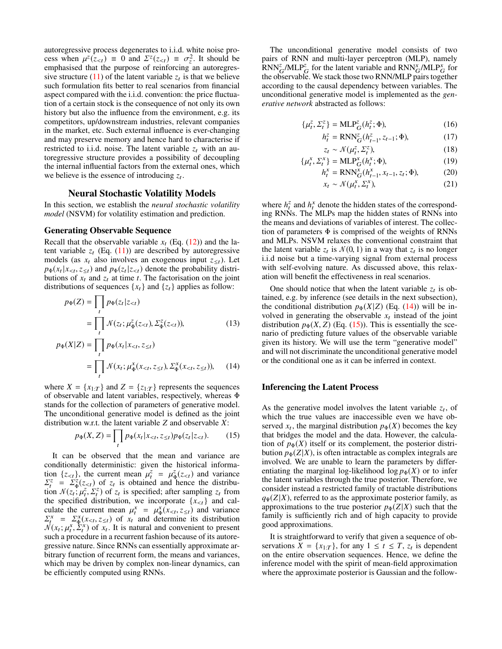autoregressive process degenerates to i.i.d. white noise process when  $\mu^z(\bar{z}_{\lt t}) \equiv 0$  and  $\sum^z (z_{\lt t}) \equiv \sigma_z^2$ . It should be<br>emphasised that the purpose of reinforcing an autoregresemphasised that the purpose of reinforcing an autoregressive structure  $(11)$  of the latent variable  $z_t$  is that we believe such formulation fits better to real scenarios from financial aspect compared with the i.i.d. convention: the price fluctuation of a certain stock is the consequence of not only its own history but also the influence from the environment, e.g. its competitors, up/downstream industries, relevant companies in the market, etc. Such external influence is ever-changing and may preserve memory and hence hard to characterise if restricted to i.i.d. noise. The latent variable  $z_t$  with an autoregressive structure provides a possibility of decoupling the internal influential factors from the external ones, which we believe is the essence of introducing  $z_t$ .

### Neural Stochastic Volatility Models

In this section, we establish the *neural stochastic volatility model* (NSVM) for volatility estimation and prediction.

#### Generating Observable Sequence

Recall that the observable variable  $x_t$  (Eq. [\(12\)](#page-2-9)) and the latent variable  $z_t$  (Eq. [\(11\)](#page-2-8)) are described by autoregressive models (as  $x_t$  also involves an exogenous input  $z_{\leq t}$ ). Let  $p_{\Phi}(x_t | x_{\leq t}, z_{\leq t})$  and  $p_{\Phi}(z_t | z_{\leq t})$  denote the probability distributions of *x*, and *z*, at time *t*. The factorisation on the joint butions of  $x_t$  and  $z_t$  at time  $t$ . The factorisation on the joint distributions of sequences  $\{x_t\}$  and  $\{z_t\}$  applies as follow:

$$
p_{\Phi}(Z) = \prod_{t} p_{\Phi}(z_t | z_{  
= 
$$
\prod_{t} \mathcal{N}(z_t; \mu_{\Phi}^{z}(z_{ (13)  

$$
p_{\Phi}(X|Z) = \prod_{t} p_{\Phi}(x_t | x_{
$$
$$
$$

$$
\begin{aligned} \n\phi(X|Z) &= \prod_t p_{\Phi}(x_t|x_{
$$

where  $X = \{x_{1:T}\}\$  and  $Z = \{z_{1:T}\}\$  represents the sequences of observable and latent variables, respectively, whereas Φ stands for the collection of parameters of generative model. The unconditional generative model is defined as the joint distribution w.r.t. the latent variable *Z* and observable *X*:

$$
p_{\Phi}(X,Z) = \prod_{t} p_{\Phi}(x_t | x_{ (15)
$$

It can be observed that the mean and variance are conditionally deterministic: given the historical information  $\{z_{\leq t}\}\$ , the current mean  $\mu_{\xi}^z = \mu_{\Phi}^z(z_{\leq t})$  and variance  $\Sigma^z = \Sigma^z(z_{\leq t})$  of  $z_t$  is obtained and hence the distribu-—<br>fi  $\tau_t^z = \sum_{k=0}^{z} (z_{\le t})$  of  $z_t$  is obtained and hence the distribu-<br>on  $\mathcal{N}(z, u^z, \Sigma^z)$  of  $z_t$  is specified: after sampling z, from tion  $\mathcal{N}(z_t; \mu_t^z, \Sigma_t^z)$  of  $z_t$  is specified; after sampling  $z_t$  from<br>the specified distribution we incorporate  $\{x_{t+1}\}$  and calthe specified distribution, we incorporate  $\{x_{\leq t}\}\$  and calculate the current mean  $\mu_t^x = \mu_{\Phi}^x(x_{ and variance  $\sum_{i=1}^x (x_{ of  $x_t$  and determine its distribution$$  $\overline{N}$  $\Sigma_t^x = \Sigma_{\Phi}^x(x_{ of  $x_t$  and determine its distribution  $\mathcal{N}(x_t; \mu_t^x, \Sigma_t^x)$  of  $x_t$ . It is natural and convenient to present such a procedure in a recurrent fashion because of its autore$ such a procedure in a recurrent fashion because of its autoregressive nature. Since RNNs can essentially approximate arbitrary function of recurrent form, the means and variances, which may be driven by complex non-linear dynamics, can be efficiently computed using RNNs.

The unconditional generative model consists of two pairs of RNN and multi-layer perceptron (MLP), namely  $RNN_G^z/MLP_G^z$  for the latent variable and  $RNN_G^x/MLP_G^x$  for the observable. We stack those two RNN/MLP pairs together according to the causal dependency between variables. The unconditional generative model is implemented as the *generative network* abstracted as follows:

$$
\{\mu_i^z, \Sigma_i^z\} = \text{MLP}_{G}^z(h_i^z; \Phi),\tag{16}
$$

<span id="page-3-3"></span>
$$
h_t^z = \text{RNN}_G^z(h_{t-1}^z, z_{t-1}; \Phi),\tag{17}
$$

$$
z_t \sim \mathcal{N}(\mu_t^z, \Sigma_t^z),\tag{18}
$$
\n
$$
\Sigma_t^x = M \, \mathbf{D}_t^x \, (\mu_t^x, \mathbf{f})\tag{19}
$$

$$
\{\mu_t^x, \Sigma_t^x\} = \text{MLP}_G^x(h_t^x; \Phi),\tag{19}
$$
\n
$$
\mu_t^x = \text{DMM}_G^x(h_t^x, \Phi_t^x, \Phi_t^x, \Phi_t^x, \Phi_t^x, \Phi_t^x, \Phi_t^x, \Phi_t^x, \Phi_t^x, \Phi_t^x, \Phi_t^x, \Phi_t^x, \Phi_t^x, \Phi_t^x, \Phi_t^x, \Phi_t^x, \Phi_t^x, \Phi_t^x, \Phi_t^x, \Phi_t^x, \Phi_t^x, \Phi_t^x, \Phi_t^x, \Phi_t^x, \Phi_t^x, \Phi_t^x, \Phi_t^x, \Phi_t^x, \Phi_t^x, \Phi_t^x, \Phi_t^x, \Phi_t^x, \Phi_t^x, \Phi_t^x, \Phi_t^x, \Phi_t^x, \Phi_t^x, \Phi_t^x, \Phi_t^x, \Phi_t^x, \Phi_t^x, \Phi_t^x, \Phi_t^x, \Phi_t^x, \Phi_t^x, \Phi_t^x, \Phi_t^x, \Phi_t^x, \Phi_t^x, \Phi_t^x, \Phi_t^x, \Phi_t^x, \Phi_t^x, \Phi_t^x, \Phi_t^x, \Phi_t^x, \Phi_t^x, \Phi_t^x, \Phi_t^x, \Phi_t^x, \Phi_t^x, \Phi_t^x, \Phi_t^x, \Phi_t^x, \Phi_t^x, \Phi_t^x, \Phi_t^x, \Phi_t^x, \Phi_t^x, \Phi_t^x, \Phi_t^x, \Phi_t^x, \Phi_t^x, \Phi_t^x, \Phi_t^x, \Phi_t^x, \Phi_t^x, \Phi_t^x, \Phi_t^x, \Phi_t^x, \Phi_t^x, \Phi_t^x, \Phi_t^x, \Phi_t^x, \Phi_t^x, \Phi_t^x, \Phi_t^x, \Phi_t^x, \Phi_t^x, \Phi_t^x, \Phi_t^x, \Phi_t^x, \Phi_t^x, \Phi_t^x, \Phi_t^x, \Phi_t^x, \Phi_t^x, \Phi_t^x, \Phi_t^x, \Phi_t^x, \Phi_t^x, \Phi_t^x, \Phi_t^x, \Phi_t^x, \Phi_t^x, \Phi_t^x, \Phi_t^x, \Phi_t^x, \Phi_t^x, \Phi_t^x, \Phi_t^x, \Phi_t^x, \Phi_t^x, \Phi_t^x, \Phi_t^x, \Phi_t^x, \Phi_t^
$$

$$
h_t^x = \text{RNN}_{G}^x(h_{t-1}^x, x_{t-1}, z_t; \Phi), \tag{20}
$$

<span id="page-3-5"></span><span id="page-3-4"></span>
$$
x_t \sim \mathcal{N}(\mu_t^x, \Sigma_t^x), \tag{21}
$$

where  $h_t^z$  and  $h_t^x$  denote the hidden states of the corresponding RNNs. The MLPs map the hidden states of RNNs into the means and deviations of variables of interest. The collection of parameters  $\Phi$  is comprised of the weights of RNNs and MLPs. NSVM relaxes the conventional constraint that the latent variable  $z_t$  is  $\mathcal{N}(0, 1)$  in a way that  $z_t$  is no longer<br>i i d noise but a time-varying signal from external process i.i.d noise but a time-varying signal from external process with self-evolving nature. As discussed above, this relaxation will benefit the effectiveness in real scenarios.

<span id="page-3-2"></span>One should notice that when the latent variable  $z_t$  is obtained, e.g. by inference (see details in the next subsection), the conditional distribution  $p_{\Phi}(X|Z)$  (Eq. [\(14\)](#page-3-0)) will be involved in generating the observable  $x_t$  instead of the joint distribution  $p_{\Phi}(X, Z)$  (Eq. [\(15\)](#page-3-1)). This is essentially the scenario of predicting future values of the observable variable given its history. We will use the term "generative model" and will not discriminate the unconditional generative model or the conditional one as it can be inferred in context.

### <span id="page-3-0"></span>Inferencing the Latent Process

<span id="page-3-1"></span>As the generative model involves the latent variable  $z_t$ , of which the true values are inaccessible even we have observed  $x_t$ , the marginal distribution  $p_{\Phi}(X)$  becomes the key that bridges the model and the data. However, the calculation of  $p_{\Phi}(X)$  itself or its complement, the posterior distribution  $p_{\Phi}(Z|X)$ , is often intractable as complex integrals are involved. We are unable to learn the parameters by differentiating the marginal log-likelihood log  $p_{\Phi}(X)$  or to infer the latent variables through the true posterior. Therefore, we consider instead a restricted family of tractable distributions  $q_{\Psi}(Z|X)$ , referred to as the approximate posterior family, as approximations to the true posterior  $p_{\Phi}(Z|X)$  such that the family is sufficiently rich and of high capacity to provide good approximations.

It is straightforward to verify that given a sequence of observations  $X = \{x_{1:T}\}\$ , for any  $1 \le t \le T$ ,  $z_t$  is dependent on the entire observation sequences. Hence, we define the inference model with the spirit of mean-field approximation where the approximate posterior is Gaussian and the follow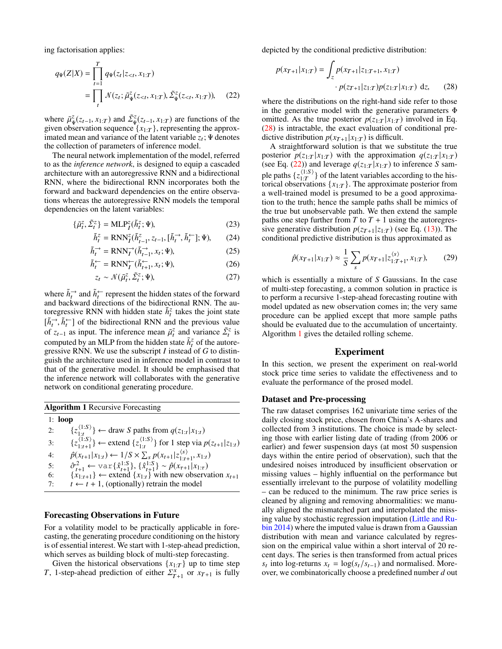ing factorisation applies:

$$
q_{\Psi}(Z|X) = \prod_{t=1}^{T} q_{\Psi}(z_t|z_{  
= 
$$
\prod_{t} \mathcal{N}(z_t; \tilde{\mu}_{\Psi}^z(z_{, (22)
$$
$$

where  $\tilde{\mu}_{\Psi}^{\tau}(z_{t-1}, x_{1:T})$  and  $\tilde{\Sigma}_{\Psi}^{\tau}(z_{t-1}, x_{1:T})$  are functions of the given observation sequence  $\{x_1, x_1\}$  representing the approxgiven observation sequence  $\{x_{1:T}\}\$ , representing the approximated mean and variance of the latent variable  $z_t$ ;  $\Psi$  denotes the collection of parameters of inference model.

The neural network implementation of the model, referred to as the *inference network*, is designed to equip a cascaded architecture with an autoregressive RNN and a bidirectional RNN, where the bidirectional RNN incorporates both the forward and backward dependencies on the entire observations whereas the autoregressive RNN models the temporal dependencies on the latent variables:

$$
\{\tilde{\mu}_t^z, \tilde{\Sigma}_t^z\} = \text{MLP}_t^z(\tilde{h}_t^z; \Psi),\tag{23}
$$

$$
\tilde{h}_t^z = \text{RNN}_I^z(\tilde{h}_{t-1}^z, z_{t-1}, [\tilde{h}_t^{\rightarrow}, \tilde{h}_t^{\leftarrow}]; \Psi), \qquad (24)
$$

$$
\tilde{h}_t^{\rightarrow} = \text{RNN}_I^{\rightarrow} (\tilde{h}_{t-1}^{\rightarrow}, x_t; \Psi), \tag{25}
$$

$$
\tilde{h}_t^{\leftarrow} = \text{RNN}_I^{\leftarrow}(\tilde{h}_{t+1}^{\leftarrow}, x_t; \Psi),\tag{26}
$$

$$
z_t \sim \mathcal{N}(\tilde{\mu}_t^z, \tilde{\Sigma}_t^z; \Psi), \tag{27}
$$

where  $\tilde{h}_t^{\rightharpoonup}$  and  $\tilde{h}_t^{\rightharpoonup}$  represent the hidden states of the forward and backward directions of the bidirectional RNN. The autoregressive RNN with hidden state  $\tilde{h}_t^z$  takes the joint state  $[\tilde{h}_t^{\rightarrow}, \tilde{h}_t^{\leftarrow}]$  of the bidirectional RNN and the previous value<br>of  $z_{\rightarrow}$  as input. The inference mean  $\tilde{h}^z$  and variance  $\tilde{\Sigma}^z$  is of  $z_{t-1}$  as input. The inference mean  $\tilde{\mu}_t^z$  and variance  $\tilde{\Sigma}_t^z$  is<br>computed by an MI P from the hidden state  $\tilde{h}_t^z$  of the autore computed by an MLP from the hidden state  $\tilde{h}_t^z$  of the autoregressive RNN. We use the subscript *I* instead of *G* to distinguish the architecture used in inference model in contrast to that of the generative model. It should be emphasised that the inference network will collaborates with the generative network on conditional generating procedure.

<span id="page-4-2"></span>Algorithm 1 Recursive Forecasting

1: loop 2:  $\{z_{1:t}^{(1:S)}\}$  $\{\sum_{i,t}^{(1:5)}\}$  ← draw *S* paths from  $q(z_{1:t}|x_{1:t})$ 3:  $\{z_{1:t+1}^{(1:S)}\}$  $\langle 1: S \rangle$ <sub>1:t+1</sub>} ← extend {*z*<sup>{1:*S*}</sup>  $\{1:5\}$ } for 1 step via  $p(z_{t+1}|z_{1:t})$ 4:  $\hat{p}(x_{t+1}|x_{1:t}) \leftarrow 1/S \times \sum_{s} p(x_{t+1}|z_{1:t}^{(s)})$  $\binom{s}{1:t+1}$ ,  $x_{1:t}$ 5:  $\hat{\sigma}_{t+1}^2 \leftarrow \text{var}\{\hat{x}_{t+1}^{1:S}\}, \{\hat{x}_{t+1}^{1:S}\}\sim \hat{p}(x_{\tau+1}|x_{1:\tau})$ <br>6: {*x*<sub>1:t+1</sub>} ← extend {*x*<sub>1:t</sub>} with new observation *x*<sub>t+1</sub> 7:  $t \leftarrow t + 1$ , (optionally) retrain the model

### Forecasting Observations in Future

For a volatility model to be practically applicable in forecasting, the generating procedure conditioning on the history is of essential interest. We start with 1-step-ahead prediction, which serves as building block of multi-step forecasting.

Given the historical observations  $\{x_{1:T}\}\$  up to time step *T*, 1-step-ahead prediction of either  $\sum_{T+1}^{x}$  or  $x_{T+1}$  is fully

depicted by the conditional predictive distribution:

<span id="page-4-0"></span>
$$
p(x_{T+1}|x_{1:T}) = \int_{z} p(x_{T+1}|z_{1:T+1}, x_{1:T})
$$

$$
\cdot p(z_{T+1}|z_{1:T})p(z_{1:T}|x_{1:T}) dz, \qquad (28)
$$

<span id="page-4-1"></span>where the distributions on the right-hand side refer to those in the generative model with the generative parameters Φ omitted. As the true posterior  $p(z_{1:T} | x_{1:T})$  involved in Eq. [\(28\)](#page-4-0) is intractable, the exact evaluation of conditional predictive distribution  $p(x_{T+1}|x_{1:T})$  is difficult.

A straightforward solution is that we substitute the true posterior  $p(z_{1:T} | x_{1:T})$  with the approximation  $q(z_{1:T} | x_{1:T})$ (see Eq. [\(22\)](#page-4-1)) and leverage  $q(z_{1:T} | x_{1:T})$  to inference *S* sample paths  $\{z_{1:T}^{\langle 1:S \rangle}$  $\binom{1: S}{1:T}$  of the latent variables according to the historical observations  $\{x_{1:T}\}\$ . The approximate posterior from a well-trained model is presumed to be a good approximation to the truth; hence the sample paths shall be mimics of the true but unobservable path. We then extend the sample paths one step further from  $T$  to  $T + 1$  using the autoregressive generative distribution  $p(z_{T+1}|z_{1:T})$  (see Eq. [\(13\)](#page-3-2)). The conditional predictive distribution is thus approximated as

$$
\hat{p}(x_{T+1}|x_{1:T}) \approx \frac{1}{S} \sum_{s} p(x_{T+1}|z_{1:T+1}^{s}) x_{1:T}, \qquad (29)
$$

<span id="page-4-4"></span><span id="page-4-3"></span>which is essentially a mixture of *S* Gaussians. In the case of multi-step forecasting, a common solution in practice is to perform a recursive 1-step-ahead forecasting routine with model updated as new observation comes in; the very same procedure can be applied except that more sample paths should be evaluated due to the accumulation of uncertainty. Algorithm [1](#page-4-2) gives the detailed rolling scheme.

### Experiment

In this section, we present the experiment on real-world stock price time series to validate the effectiveness and to evaluate the performance of the prosed model.

#### Dataset and Pre-processing

The raw dataset comprises 162 univariate time series of the daily closing stock price, chosen from China's A-shares and collected from 3 institutions. The choice is made by selecting those with earlier listing date of trading (from 2006 or earlier) and fewer suspension days (at most 50 suspension days within the entire period of observation), such that the undesired noises introduced by insufficient observation or missing values – highly influential on the performance but essentially irrelevant to the purpose of volatility modelling – can be reduced to the minimum. The raw price series is cleaned by aligning and removing abnormalities: we manually aligned the mismatched part and interpolated the missing value by stochastic regression imputation [\(Little and Ru](#page-7-30)[bin 2014\)](#page-7-30) where the imputed value is drawn from a Gaussian distribution with mean and variance calculated by regression on the empirical value within a short interval of 20 recent days. The series is then transformed from actual prices  $s_t$  into log-returns  $x_t = \log(s_t / s_{t-1})$  and normalised. Moreover, we combinatorically choose a predefined number *d* out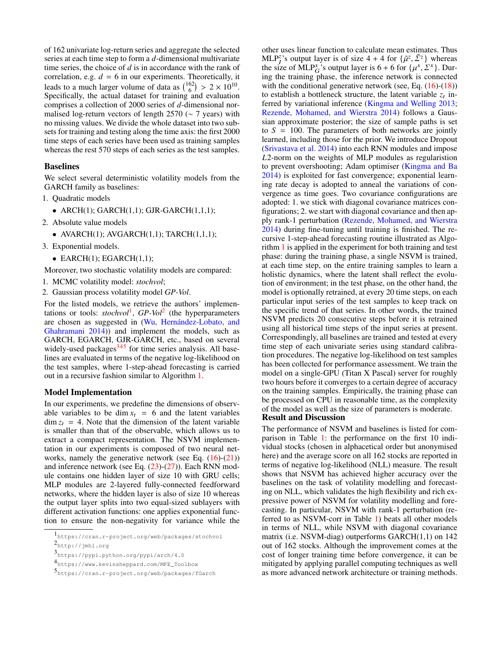of 162 univariate log-return series and aggregate the selected series at each time step to form a *d*-dimensional multivariate time series, the choice of *d* is in accordance with the rank of correlation, e.g.  $d = 6$  in our experiments. Theoretically, it leads to a much larger volume of data as  $\binom{162}{6}$  > 2 × 10<sup>10</sup>.<br>Specifically the actual dataset for training and evaluation Specifically, the actual dataset for training and evaluation comprises a collection of 2000 series of *d*-dimensional normalised log-return vectors of length 2570 ( $\sim$  7 years) with no missing values. We divide the whole dataset into two subsets for training and testing along the time axis: the first 2000 time steps of each series have been used as training samples whereas the rest 570 steps of each series as the test samples.

#### Baselines

We select several deterministic volatility models from the GARCH family as baselines:

- 1. Quadratic models
	- ARCH $(1)$ ; GARCH $(1,1)$ ; GJR-GARCH $(1,1,1)$ ;
- 2. Absolute value models
	- AVARCH $(1)$ ; AVGARCH $(1,1)$ ; TARCH $(1,1,1)$ ;
- 3. Exponential models.
	- EARCH $(1)$ ; EGARCH $(1,1)$ ;

Moreover, two stochastic volatility models are compared:

- 1. MCMC volatility model: *stochvol*;
- 2. Gaussian process volatility model *GP-Vol*.

For the listed models, we retrieve the authors' implementations or tools: *stochvol*[1](#page-5-0) , *GP-Vol*[2](#page-5-1) (the hyperparameters are chosen as suggested in (Wu, Hernández-Lobato, and [Ghahramani 2014\)](#page-7-14)) and implement the models, such as GARCH, EGARCH, GJR-GARCH, etc., based on several widely-used packages<sup>[3](#page-5-2)[4](#page-5-3)[5](#page-5-4)</sup> for time series analysis. All baselines are evaluated in terms of the negative log-likelihood on the test samples, where 1-step-ahead forecasting is carried out in a recursive fashion similar to Algorithm [1.](#page-4-2)

#### Model Implementation

In our experiments, we predefine the dimensions of observable variables to be dim  $x_t = 6$  and the latent variables  $\dim z_t = 4$ . Note that the dimension of the latent variable is smaller than that of the observable, which allows us to extract a compact representation. The NSVM implementation in our experiments is composed of two neural networks, namely the generative network (see Eq.  $(16)-(21)$  $(16)-(21)$  $(16)-(21)$ ) and inference network (see Eq. [\(23\)](#page-4-3)-[\(27\)](#page-4-4)). Each RNN module contains one hidden layer of size 10 with GRU cells; MLP modules are 2-layered fully-connected feedforward networks, where the hidden layer is also of size 10 whereas the output layer splits into two equal-sized sublayers with different activation functions: one applies exponential function to ensure the non-negativity for variance while the

other uses linear function to calculate mean estimates. Thus MLP<sup>z</sup>'s output layer is of size 4 + 4 for  $\{\tilde{\mu}^z, \tilde{\Sigma}^z\}$  whereas<br>the size of MLP<sup>x</sup>'s output layer is 6 + 6 for  $\{\mu^x, \Sigma^x\}$  Durthe size of MLP<sup>x</sup>, s output layer is  $6 + 6$  for  $\{\mu^x, \Sigma^x\}$ . During the training phase, the inference network is connected ing the training phase, the inference network is connected with the conditional generative network (see, Eq.  $(16)$ - $(18)$ ) to establish a bottleneck structure, the latent variable  $z_t$  inferred by variational inference [\(Kingma and Welling 2013;](#page-7-25) [Rezende, Mohamed, and Wierstra 2014\)](#page-7-26) follows a Gaussian approximate posterior; the size of sample paths is set to  $S = 100$ . The parameters of both networks are jointly learned, including those for the prior. We introduce Dropout [\(Srivastava et al. 2014\)](#page-7-31) into each RNN modules and impose *L*2-norm on the weights of MLP modules as regularistion to prevent overshooting; Adam optimiser [\(Kingma and Ba](#page-7-32) [2014\)](#page-7-32) is exploited for fast convergence; exponential learning rate decay is adopted to anneal the variations of convergence as time goes. Two covariance configurations are adopted: 1. we stick with diagonal covariance matrices configurations; 2. we start with diagonal covariance and then apply rank-1 perturbation [\(Rezende, Mohamed, and Wierstra](#page-7-26) [2014\)](#page-7-26) during fine-tuning until training is finished. The recursive 1-step-ahead forecasting routine illustrated as Algorithm [1](#page-4-2) is applied in the experiment for both training and test phase: during the training phase, a single NSVM is trained, at each time step, on the entire training samples to learn a holistic dynamics, where the latent shall reflect the evolution of environment; in the test phase, on the other hand, the model is optionally retrained, at every 20 time steps, on each particular input series of the test samples to keep track on the specific trend of that series. In other words, the trained NSVM predicts 20 consecutive steps before it is retrained using all historical time steps of the input series at present. Correspondingly, all baselines are trained and tested at every time step of each univariate series using standard calibration procedures. The negative log-likelihood on test samples has been collected for performance assessment. We train the model on a single-GPU (Titan X Pascal) server for roughly two hours before it converges to a certain degree of accuracy on the training samples. Empirically, the training phase can be processed on CPU in reasonable time, as the complexity of the model as well as the size of parameters is moderate. Result and Discussion

The performance of NSVM and baselines is listed for comparison in Table [1:](#page-6-0) the performance on the first 10 individual stocks (chosen in alphacetical order but anonymised here) and the average score on all 162 stocks are reported in terms of negative log-likelihood (NLL) measure. The result shows that NSVM has achieved higher accuracy over the baselines on the task of volatility modelling and forecasting on NLL, which validates the high flexibility and rich expressive power of NSVM for volatility modelling and forecasting. In particular, NSVM with rank-1 perturbation (referred to as NSVM-corr in Table [1\)](#page-6-0) beats all other models in terms of NLL, while NSVM with diagonal covariance matrix (i.e. NSVM-diag) outperforms GARCH(1,1) on 142 out of 162 stocks. Although the improvement comes at the cost of longer training time before convergence, it can be mitigated by applying parallel computing techniques as well as more advanced network architecture or training methods.

<span id="page-5-0"></span><sup>1</sup> <https://cran.r-project.org/web/packages/stochvol>

<span id="page-5-1"></span> $^{2}$ <http://jmhl.org>

<span id="page-5-2"></span><sup>3</sup> <https://pypi.python.org/pypi/arch/4.0>

<span id="page-5-3"></span><sup>4</sup> [https://www.kevinsheppard.com/MFE\\_Toolbox](https://www.kevinsheppard.com/MFE_Toolbox)

<span id="page-5-4"></span><sup>5</sup> <https://cran.r-project.org/web/packages/fGarch>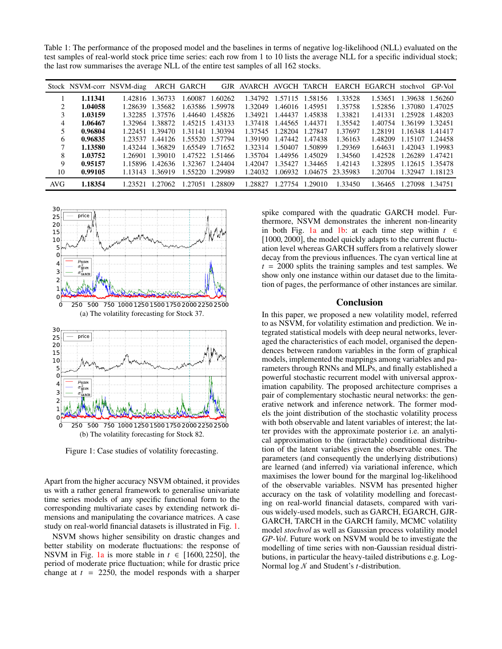<span id="page-6-0"></span>Table 1: The performance of the proposed model and the baselines in terms of negative log-likelihood (NLL) evaluated on the test samples of real-world stock price time series: each row from 1 to 10 lists the average NLL for a specific individual stock; the last row summarises the average NLL of the entire test samples of all 162 stocks.

|     |         | Stock NSVM-corr NSVM-diag ARCH GARCH |                 |                 |                 |         |                 |                 |                          | GJR AVARCH AVGCH TARCH EARCH EGARCH stochvol GP-Vol |                 |         |
|-----|---------|--------------------------------------|-----------------|-----------------|-----------------|---------|-----------------|-----------------|--------------------------|-----------------------------------------------------|-----------------|---------|
|     | 1.11341 |                                      | 1.42816 1.36733 | 1.60087         | .60262          | 1.34792 |                 | 1.57115 1.58156 | 1.33528                  | 1.53651                                             | 1.39638 1.56260 |         |
|     | 1.04058 |                                      | 1.28639 1.35682 |                 | 1.63586 1.59978 | 1.32049 |                 | 1.46016 1.45951 | 1.35758                  | 1.52856                                             | 1.37080 1.47025 |         |
| 3   | 1.03159 |                                      | 1.32285 1.37576 | 1.44640 1.45826 |                 | 1.34921 | 1.44437 1.45838 |                 | 1.33821                  | 1.41331                                             | 1.25928 1.48203 |         |
| 4   | 1.06467 |                                      | 1.32964 1.38872 | 1.45215 1.43133 |                 | 1.37418 |                 | 1.44565 1.44371 | 1.35542                  | 1.40754                                             | 1.36199 1.32451 |         |
|     | 0.96804 |                                      | 1.22451 1.39470 |                 | 1.31141 1.30394 | 1.37545 | 1.28204 1.27847 |                 | 1.37697                  | 1.28191                                             | 1.16348 1.41417 |         |
| 6   | 0.96835 |                                      | 1.23537 1.44126 |                 | 1.55520 1.57794 | 1.39190 |                 | 1.47442 1.47438 | 1.36163                  | 1.48209                                             | 1.15107 1.24458 |         |
|     | 1.13580 |                                      | 1.43244 1.36829 |                 | 1.65549 1.71652 | 1.32314 |                 | 1.50407 1.50899 | 1.29369                  | 1.64631                                             | 1.42043 1.19983 |         |
| 8   | 1.03752 |                                      | 1.26901 1.39010 |                 | 1.47522 1.51466 | 1.35704 |                 | 1.44956 1.45029 | 1.34560                  | 1.42528                                             | 1.26289         | 1.47421 |
| 9   | 0.95157 |                                      | 1.15896 1.42636 | 1.32367         | 1.24404         | 1.42047 | 1.35427         | 1.34465         | 1.42143                  | 1.32895                                             | 1.12615 1.35478 |         |
| 10  | 0.99105 |                                      | 1.13143 1.36919 |                 | 1.55220 1.29989 | 1.24032 |                 |                 | 1.06932 1.04675 23.35983 | 1.20704                                             | 1.32947 1.18123 |         |
| AVG | 1.18354 | 1.23521                              | 1.27062         | 1 27051         | .28809          | 1.28827 | 1.27754         | 1.29010         | 1.33450                  | 1.36465                                             | 1.27098         | 1.34751 |

<span id="page-6-2"></span><span id="page-6-1"></span>

<span id="page-6-3"></span>Figure 1: Case studies of volatility forecasting.

Apart from the higher accuracy NSVM obtained, it provides us with a rather general framework to generalise univariate time series models of any specific functional form to the corresponding multivariate cases by extending network dimensions and manipulating the covariance matrices. A case study on real-world financial datasets is illustrated in Fig. [1.](#page-6-1)

NSVM shows higher sensibility on drastic changes and better stability on moderate fluctuations: the response of NSVM in Fig. [1a](#page-6-2) is more stable in  $t \in [1600, 2250]$ , the period of moderate price fluctuation; while for drastic price change at  $t = 2250$ , the model responds with a sharper

spike compared with the quadratic GARCH model. Furthermore, NSVM demonstrates the inherent non-linearity in both Fig. [1a](#page-6-2) and [1b:](#page-6-3) at each time step within *t* ∈ [1000, 2000], the model quickly adapts to the current fluctuation level whereas GARCH suffers from a relatively slower decay from the previous influences. The cyan vertical line at  $t = 2000$  splits the training samples and test samples. We show only one instance within our dataset due to the limitation of pages, the performance of other instances are similar.

### Conclusion

In this paper, we proposed a new volatility model, referred to as NSVM, for volatility estimation and prediction. We integrated statistical models with deep neural networks, leveraged the characteristics of each model, organised the dependences between random variables in the form of graphical models, implemented the mappings among variables and parameters through RNNs and MLPs, and finally established a powerful stochastic recurrent model with universal approximation capability. The proposed architecture comprises a pair of complementary stochastic neural networks: the generative network and inference network. The former models the joint distribution of the stochastic volatility process with both observable and latent variables of interest; the latter provides with the approximate posterior i.e. an analytical approximation to the (intractable) conditional distribution of the latent variables given the observable ones. The parameters (and consequently the underlying distributions) are learned (and inferred) via variational inference, which maximises the lower bound for the marginal log-likelihood of the observable variables. NSVM has presented higher accuracy on the task of volatility modelling and forecasting on real-world financial datasets, compared with various widely-used models, such as GARCH, EGARCH, GJR-GARCH, TARCH in the GARCH family, MCMC volatility model *stochvol* as well as Gaussian process volatility model *GP-Vol*. Future work on NSVM would be to investigate the modelling of time series with non-Gaussian residual distributions, in particular the heavy-tailed distributions e.g. Log-Normal  $\log N$  and Student's *t*-distribution.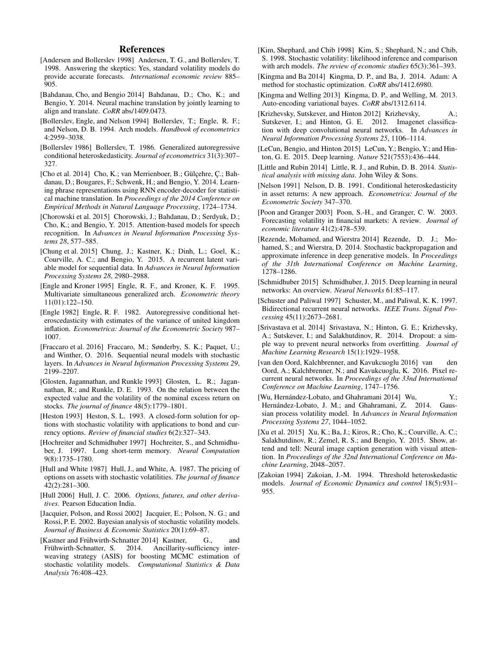### References

- <span id="page-7-12"></span>[Andersen and Bollerslev 1998] Andersen, T. G., and Bollerslev, T. 1998. Answering the skeptics: Yes, standard volatility models do provide accurate forecasts. *International economic review* 885– 905.
- <span id="page-7-19"></span>[Bahdanau, Cho, and Bengio 2014] Bahdanau, D.; Cho, K.; and Bengio, Y. 2014. Neural machine translation by jointly learning to align and translate. *CoRR* abs/1409.0473.
- <span id="page-7-10"></span>[Bollerslev, Engle, and Nelson 1994] Bollerslev, T.; Engle, R. F.; and Nelson, D. B. 1994. Arch models. *Handbook of econometrics* 4:2959–3038.
- <span id="page-7-3"></span>[Bollerslev 1986] Bollerslev, T. 1986. Generalized autoregressive conditional heteroskedasticity. *Journal of econometrics* 31(3):307– 327.
- <span id="page-7-22"></span>[Cho et al. 2014] Cho, K.; van Merrienboer, B.; Gülçehre, Ç.; Bahdanau, D.; Bougares, F.; Schwenk, H.; and Bengio, Y. 2014. Learning phrase representations using RNN encoder-decoder for statistical machine translation. In *Proceedings of the 2014 Conference on Empirical Methods in Natural Language Processing*, 1724–1734.
- <span id="page-7-18"></span>[Chorowski et al. 2015] Chorowski, J.; Bahdanau, D.; Serdyuk, D.; Cho, K.; and Bengio, Y. 2015. Attention-based models for speech recognition. In *Advances in Neural Information Processing Systems 28*, 577–585.
- <span id="page-7-8"></span>[Chung et al. 2015] Chung, J.; Kastner, K.; Dinh, L.; Goel, K.; Courville, A. C.; and Bengio, Y. 2015. A recurrent latent variable model for sequential data. In *Advances in Neural Information Processing Systems 28*, 2980–2988.
- <span id="page-7-11"></span>[Engle and Kroner 1995] Engle, R. F., and Kroner, K. F. 1995. Multivariate simultaneous generalized arch. *Econometric theory* 11(01):122–150.
- <span id="page-7-2"></span>[Engle 1982] Engle, R. F. 1982. Autoregressive conditional heteroscedasticity with estimates of the variance of united kingdom inflation. *Econometrica: Journal of the Econometric Society* 987– 1007.
- <span id="page-7-9"></span>[Fraccaro et al. 2016] Fraccaro, M.; Sønderby, S. K.; Paquet, U.; and Winther, O. 2016. Sequential neural models with stochastic layers. In *Advances in Neural Information Processing Systems 29*, 2199–2207.
- <span id="page-7-27"></span>[Glosten, Jagannathan, and Runkle 1993] Glosten, L. R.; Jagannathan, R.; and Runkle, D. E. 1993. On the relation between the expected value and the volatility of the nominal excess return on stocks. *The journal of finance* 48(5):1779–1801.
- <span id="page-7-5"></span>[Heston 1993] Heston, S. L. 1993. A closed-form solution for options with stochastic volatility with applications to bond and currency options. *Review of financial studies* 6(2):327–343.
- <span id="page-7-20"></span>[Hochreiter and Schmidhuber 1997] Hochreiter, S., and Schmidhuber, J. 1997. Long short-term memory. *Neural Computation* 9(8):1735–1780.
- <span id="page-7-4"></span>[Hull and White 1987] Hull, J., and White, A. 1987. The pricing of options on assets with stochastic volatilities. *The journal of finance* 42(2):281–300.
- <span id="page-7-0"></span>[Hull 2006] Hull, J. C. 2006. *Options, futures, and other derivatives*. Pearson Education India.
- <span id="page-7-6"></span>[Jacquier, Polson, and Rossi 2002] Jacquier, E.; Polson, N. G.; and Rossi, P. E. 2002. Bayesian analysis of stochastic volatility models. *Journal of Business & Economic Statistics* 20(1):69–87.
- <span id="page-7-13"></span>[Kastner and Frühwirth-Schnatter 2014] Kastner, G., and Frühwirth-Schnatter, S. 2014. Ancillarity-sufficiency interweaving strategy (ASIS) for boosting MCMC estimation of stochastic volatility models. *Computational Statistics & Data Analysis* 76:408–423.
- <span id="page-7-7"></span>[Kim, Shephard, and Chib 1998] Kim, S.; Shephard, N.; and Chib, S. 1998. Stochastic volatility: likelihood inference and comparison with arch models. *The review of economic studies* 65(3):361–393.
- <span id="page-7-32"></span>[Kingma and Ba 2014] Kingma, D. P., and Ba, J. 2014. Adam: A method for stochastic optimization. *CoRR* abs/1412.6980.
- <span id="page-7-25"></span>[Kingma and Welling 2013] Kingma, D. P., and Welling, M. 2013. Auto-encoding variational bayes. *CoRR* abs/1312.6114.
- <span id="page-7-17"></span>[Krizhevsky, Sutskever, and Hinton 2012] Krizhevsky, A.; Sutskever, I.; and Hinton, G. E. 2012. Imagenet classification with deep convolutional neural networks. In *Advances in Neural Information Processing Systems 25*, 1106–1114.
- <span id="page-7-15"></span>[LeCun, Bengio, and Hinton 2015] LeCun, Y.; Bengio, Y.; and Hinton, G. E. 2015. Deep learning. *Nature* 521(7553):436–444.
- <span id="page-7-30"></span>[Little and Rubin 2014] Little, R. J., and Rubin, D. B. 2014. *Statistical analysis with missing data*. John Wiley & Sons.
- <span id="page-7-29"></span>[Nelson 1991] Nelson, D. B. 1991. Conditional heteroskedasticity in asset returns: A new approach. *Econometrica: Journal of the Econometric Society* 347–370.
- <span id="page-7-1"></span>[Poon and Granger 2003] Poon, S.-H., and Granger, C. W. 2003. Forecasting volatility in financial markets: A review. *Journal of economic literature* 41(2):478–539.
- <span id="page-7-26"></span>[Rezende, Mohamed, and Wierstra 2014] Rezende, D. J.; Mohamed, S.; and Wierstra, D. 2014. Stochastic backpropagation and approximate inference in deep generative models. In *Proceedings of the 31th International Conference on Machine Learning*, 1278–1286.
- <span id="page-7-16"></span>[Schmidhuber 2015] Schmidhuber, J. 2015. Deep learning in neural networks: An overview. *Neural Networks* 61:85–117.
- <span id="page-7-21"></span>[Schuster and Paliwal 1997] Schuster, M., and Paliwal, K. K. 1997. Bidirectional recurrent neural networks. *IEEE Trans. Signal Processing* 45(11):2673–2681.
- <span id="page-7-31"></span>[Srivastava et al. 2014] Srivastava, N.; Hinton, G. E.; Krizhevsky, A.; Sutskever, I.; and Salakhutdinov, R. 2014. Dropout: a simple way to prevent neural networks from overfitting. *Journal of Machine Learning Research* 15(1):1929–1958.
- <span id="page-7-24"></span>[van den Oord, Kalchbrenner, and Kavukcuoglu 2016] van den Oord, A.; Kalchbrenner, N.; and Kavukcuoglu, K. 2016. Pixel recurrent neural networks. In *Proceedings of the 33nd International Conference on Machine Learning*, 1747–1756.
- <span id="page-7-14"></span>[Wu, Hernández-Lobato, and Ghahramani 2014] Wu, Y.; Hernández-Lobato, J. M.; and Ghahramani, Z. 2014. Gaussian process volatility model. In *Advances in Neural Information Processing Systems 27*, 1044–1052.
- <span id="page-7-23"></span>[Xu et al. 2015] Xu, K.; Ba, J.; Kiros, R.; Cho, K.; Courville, A. C.; Salakhutdinov, R.; Zemel, R. S.; and Bengio, Y. 2015. Show, attend and tell: Neural image caption generation with visual attention. In *Proceedings of the 32nd International Conference on Machine Learning*, 2048–2057.
- <span id="page-7-28"></span>[Zakoian 1994] Zakoian, J.-M. 1994. Threshold heteroskedastic models. *Journal of Economic Dynamics and control* 18(5):931– 955.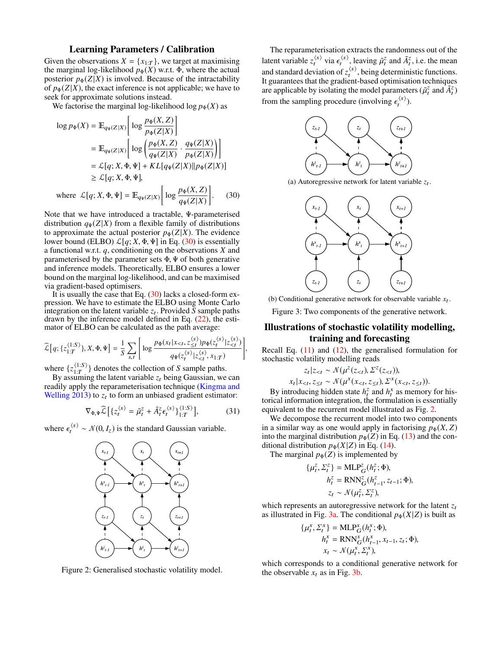# Learning Parameters / Calibration

Given the observations  $X = \{x_{1:T}\}\,$ , we target at maximising the marginal log-likelihood  $p_{\Phi}(X)$  w.r.t.  $\Phi$ , where the actual posterior  $p_{\Phi}(Z|X)$  is involved. Because of the intractability of  $p_{\Phi}(Z|X)$ , the exact inference is not applicable; we have to seek for approximate solutions instead.

We factorise the marginal log-likelihood log  $p_{\Phi}(X)$  as

$$
\log p_{\Phi}(X) = \mathbb{E}_{q_{\Psi}(Z|X)} \left[ \log \frac{p_{\Phi}(X, Z)}{p_{\Phi}(Z|X)} \right]
$$
  
\n
$$
= \mathbb{E}_{q_{\Psi}(Z|X)} \left[ \log \left( \frac{p_{\Phi}(X, Z)}{q_{\Psi}(Z|X)} \cdot \frac{q_{\Psi}(Z|X)}{p_{\Phi}(Z|X)} \right) \right]
$$
  
\n
$$
= \mathcal{L}[q; X, \Phi, \Psi] + KL[q_{\Psi}(Z|X)||p_{\Phi}(Z|X)]
$$
  
\n
$$
\geq \mathcal{L}[q; X, \Phi, \Psi],
$$

where 
$$
\mathcal{L}[q; X, \Phi, \Psi] = \mathbb{E}_{q_{\Psi}(Z|X)} \left[ \log \frac{p_{\Phi}(X, Z)}{q_{\Psi}(Z|X)} \right].
$$
 (30)

Note that we have introduced a tractable, Ψ-parameterised distribution  $q_{\Psi}(Z|X)$  from a flexible family of distributions to approximate the actual posterior  $p_{\Phi}(Z|X)$ . The evidence lower bound (ELBO)  $\mathcal{L}[q; X, \Phi, \Psi]$  in Eq. [\(30\)](#page-8-0) is essentially a functional w.r.t. *q*, conditioning on the observations *X* and parameterised by the parameter sets  $\Phi$ ,  $\Psi$  of both generative and inference models. Theoretically, ELBO ensures a lower bound on the marginal log-likelihood, and can be maximised via gradient-based optimisers.

It is usually the case that Eq.  $(30)$  lacks a closed-form expression. We have to estimate the ELBO using Monte Carlo integration on the latent variable  $z_t$ . Provided  $\overline{S}$  sample paths drawn by the inference model defined in Eq. [\(22\)](#page-4-1), the estimator of ELBO can be calculated as the path average:

$$
\widehat{\mathcal{L}}[q; \{z_{1:T}^{(1:S)}\}, X, \Phi, \Psi] = \frac{1}{S} \sum_{s,t} \left[ \log \frac{p_{\Phi}(x_t | x_{
$$

where  $\{z_{1:T}^{\langle 1:S \rangle}$  $\binom{1:5}{1:T}$  denotes the collection of *S* sample paths.

By assuming the latent variable  $z_t$  being Gaussian, we can readily apply the reparameterisation technique [\(Kingma and](#page-7-25) Welling  $2013$ ) to  $z_t$  to form an unbiased gradient estimator:

$$
\nabla_{\Phi,\Psi} \widehat{\mathcal{L}} \left[ \{ z_t^{\langle s \rangle} = \widetilde{\mu}_t^z + \widetilde{A}_t^z \epsilon_t^{\langle s \rangle} \}_{1:T}^{(1:S)} \right],\tag{31}
$$

<span id="page-8-1"></span>where  $\epsilon_t^{(s)} \sim \mathcal{N}(0, I_z)$  is the standard Gaussian variable.



Figure 2: Generalised stochastic volatility model.

The reparameterisation extracts the randomness out of the latent variable  $z_t^{(s)}$  via  $\epsilon_t^{(s)}$ , leaving  $\tilde{\mu}_t^z$  and  $\tilde{A}_t^z$ , i.e. the mean and standard deviation of  $z_t^{(s)}$ , being deterministic functions. It guarantees that the gradient-based optimisation techniques are applicable by isolating the model parameters  $(\tilde{\mu}_t^z$  and  $\tilde{A}_t^z$ ) from the sampling procedure (involving  $\epsilon_t^{(s)}$ ).

<span id="page-8-2"></span>

<span id="page-8-0"></span>(a) Autoregressive network for latent variable  $z_t$ .



<span id="page-8-3"></span>(b) Conditional generative network for observable variable  $x_t$ .

Figure 3: Two components of the generative network.

# Illustrations of stochastic volatility modelling, training and forecasting

Recall Eq.  $(11)$  and  $(12)$ , the generalised formulation for stochastic volatility modelling reads

$$
z_t|z_{< t} \sim \mathcal{N}(\mu^z(z_{< t}), \Sigma^z(z_{< t})),
$$

 $z_t | z_{<br>  $x_t | x_{<br> *x*oducing hidden state  $h^z$  and  $h^x$  as memory$$ By introducing hidden state  $h_t^z$  and  $h_t^x$  as memory for his-

torical information integration, the formulation is essentially equivalent to the recurrent model illustrated as Fig. [2.](#page-8-1)

We decompose the recurrent model into two components in a similar way as one would apply in factorising  $p_{\Phi}(X, Z)$ into the marginal distribution  $p_{\Phi}(Z)$  in Eq. [\(13\)](#page-3-2) and the conditional distribution  $p_{\Phi}(X|Z)$  in Eq. [\(14\)](#page-3-0).

The marginal  $p_{\Phi}(Z)$  is implemented by

$$
\{\mu_t^z, \Sigma_t^z\} = \text{MLP}_G^z(h_t^z; \Phi),
$$
  
\n
$$
h_t^z = \text{RNN}_G^z(h_{t-1}^z, z_{t-1}; \Phi),
$$
  
\n
$$
z_t \sim \mathcal{N}(\mu_t^z, \Sigma_t^z),
$$

which represents an autoregressive network for the latent  $z_t$ as illustrated in Fig. [3a.](#page-8-2) The conditional  $p_{\Phi}(X|Z)$  is built as

$$
\{\mu_t^x, \Sigma_t^x\} = \text{MLP}_G^x(h_t^x; \Phi),
$$
  
\n
$$
h_t^x = \text{RNN}_G^x(h_{t-1}^x, x_{t-1}, z_t; \Phi),
$$
  
\n
$$
x_t \sim \mathcal{N}(\mu_t^x, \Sigma_t^x),
$$

which corresponds to a conditional generative network for the observable  $x_t$  as in Fig. [3b.](#page-8-3)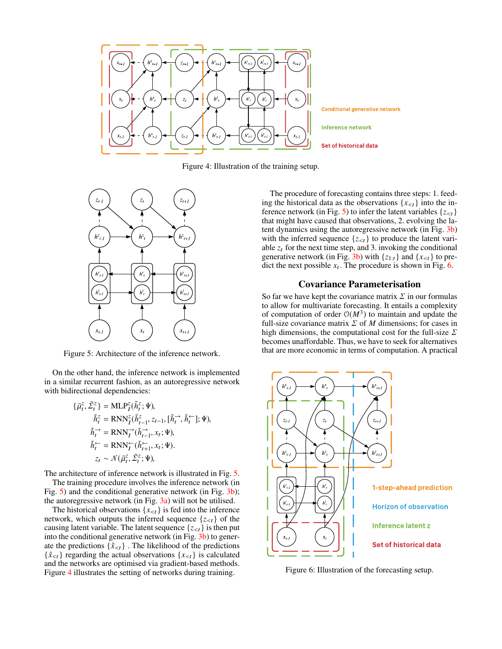<span id="page-9-1"></span>

Figure 4: Illustration of the training setup.

<span id="page-9-0"></span>

Figure 5: Architecture of the inference network.

On the other hand, the inference network is implemented in a similar recurrent fashion, as an autoregressive network with bidirectional dependencies:

$$
\{\tilde{\mu}_t^z, \tilde{\Sigma}_t^z\} = \text{MLP}_I^z(\tilde{h}_t^z; \Psi),
$$
  
\n
$$
\tilde{h}_t^z = \text{RNN}_I^z(\tilde{h}_{t-1}^z, z_{t-1}, [\tilde{h}_t^{\rightarrow}, \tilde{h}_t^{\leftarrow}]; \Psi),
$$
  
\n
$$
\tilde{h}_t^{\rightarrow} = \text{RNN}_I^{\rightarrow}(\tilde{h}_{t-1}^{\rightarrow}, x_t; \Psi),
$$
  
\n
$$
\tilde{h}_t^{\leftarrow} = \text{RNN}_I^{\leftarrow}(\tilde{h}_{t+1}^{\leftarrow}, x_t; \Psi).
$$
  
\n
$$
z_t \sim \mathcal{N}(\tilde{\mu}_t^z, \tilde{\Sigma}_t^z; \Psi),
$$

The architecture of inference network is illustrated in Fig. [5.](#page-9-0)

The training procedure involves the inference network (in Fig. [5\)](#page-9-0) and the conditional generative network (in Fig. [3b\)](#page-8-3); the autoregressive network (in Fig. [3a\)](#page-8-2) will not be utilised.

The historical observations  $\{x_{\leq t}\}\$ is fed into the inference network, which outputs the inferred sequence  $\{z_{\leq t}\}\)$  of the causing latent variable. The latent sequence  $\{z_{\leq t}\}\)$  is then put into the conditional generative network (in Fig. [3b\)](#page-8-3) to generate the predictions  $\{\hat{x}_{< t}\}\)$ . The likelihood of the predictions  $\{\hat{x}_{\leq t}\}\)$  regarding the actual observations  $\{x_{\leq t}\}\)$  is calculated and the networks are optimised via gradient-based methods. Figure [4](#page-9-1) illustrates the setting of networks during training.

The procedure of forecasting contains three steps: 1. feeding the historical data as the observations  $\{x_{\leq t}\}\$ into the in-ference network (in Fig. [5\)](#page-9-0) to infer the latent variables  $\{z_{\lt t}\}$ that might have caused that observations, 2. evolving the latent dynamics using the autoregressive network (in Fig. [3b\)](#page-8-3) with the inferred sequence  $\{z_{lt}\}\$  to produce the latent variable  $z_t$  for the next time step, and 3. invoking the conditional generative network (in Fig. [3b\)](#page-8-3) with  $\{z_{1:t}\}\$  and  $\{x_{< t}\}\$  to predict the next possible  $x_t$ . The procedure is shown in Fig. [6.](#page-9-2)

# Covariance Parameterisation

So far we have kept the covariance matrix  $\Sigma$  in our formulas to allow for multivariate forecasting. It entails a complexity of computation of order  $O(M^3)$  to maintain and update the full-size covariance matrix  $\Sigma$  of  $M$  dimensions; for cases in high dimensions, the computational cost for the full-size  $\Sigma$ becomes unaffordable. Thus, we have to seek for alternatives that are more economic in terms of computation. A practical

<span id="page-9-2"></span>

Figure 6: Illustration of the forecasting setup.